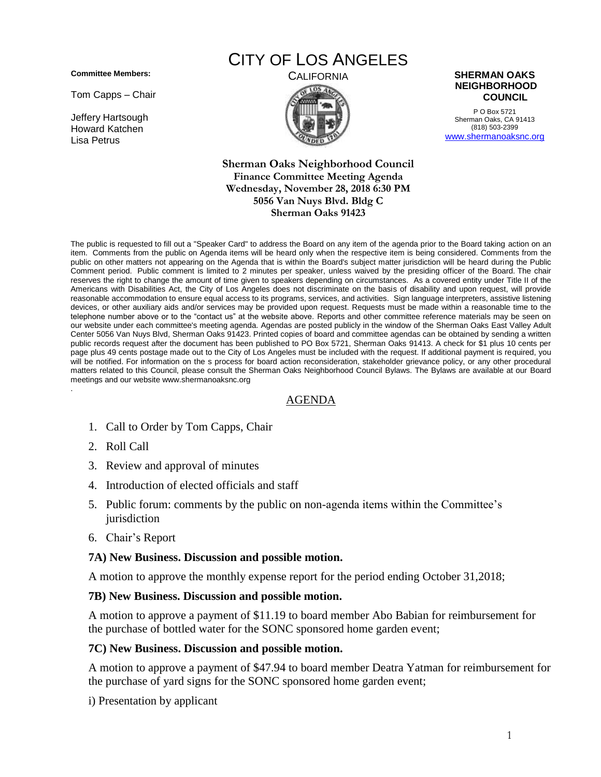**Committee Members:**

Tom Capps – Chair

Jeffery Hartsough Howard Katchen Lisa Petrus

# CITY OF LOS ANGELES



#### CALIFORNIA **SHERMAN OAKS NEIGHBORHOOD COUNCIL**

P O Box 5721 Sherman Oaks, CA 91413 (818) 503-2399 [www.shermanoaksnc.org](http://www.shermanoaksnc.org/)

**Sherman Oaks Neighborhood Council Finance Committee Meeting Agenda Wednesday, November 28, 2018 6:30 PM 5056 Van Nuys Blvd. Bldg C Sherman Oaks 91423**

The public is requested to fill out a "Speaker Card" to address the Board on any item of the agenda prior to the Board taking action on an item. Comments from the public on Agenda items will be heard only when the respective item is being considered. Comments from the public on other matters not appearing on the Agenda that is within the Board's subject matter jurisdiction will be heard during the Public Comment period. Public comment is limited to 2 minutes per speaker, unless waived by the presiding officer of the Board. The chair reserves the right to change the amount of time given to speakers depending on circumstances. As a covered entity under Title II of the Americans with Disabilities Act, the City of Los Angeles does not discriminate on the basis of disability and upon request, will provide reasonable accommodation to ensure equal access to its programs, services, and activities. Sign language interpreters, assistive listening devices, or other auxiliary aids and/or services may be provided upon request. Requests must be made within a reasonable time to the telephone number above or to the "contact us" at the website above. Reports and other committee reference materials may be seen on our website under each committee's meeting agenda. Agendas are posted publicly in the window of the Sherman Oaks East Valley Adult Center 5056 Van Nuys Blvd, Sherman Oaks 91423. Printed copies of board and committee agendas can be obtained by sending a written public records request after the document has been published to PO Box 5721, Sherman Oaks 91413. A check for \$1 plus 10 cents per page plus 49 cents postage made out to the City of Los Angeles must be included with the request. If additional payment is required, you will be notified. For information on the s process for board action reconsideration, stakeholder grievance policy, or any other procedural matters related to this Council, please consult the Sherman Oaks Neighborhood Council Bylaws. The Bylaws are available at our Board meetings and our website www.shermanoaksnc.org .

### AGENDA

- 1. Call to Order by Tom Capps, Chair
- 2. Roll Call
- 3. Review and approval of minutes
- 4. Introduction of elected officials and staff
- 5. Public forum: comments by the public on non-agenda items within the Committee's jurisdiction
- 6. Chair's Report

### **7A) New Business. Discussion and possible motion.**

A motion to approve the monthly expense report for the period ending October 31,2018;

#### **7B) New Business. Discussion and possible motion.**

A motion to approve a payment of \$11.19 to board member Abo Babian for reimbursement for the purchase of bottled water for the SONC sponsored home garden event;

#### **7C) New Business. Discussion and possible motion.**

A motion to approve a payment of \$47.94 to board member Deatra Yatman for reimbursement for the purchase of yard signs for the SONC sponsored home garden event;

i) Presentation by applicant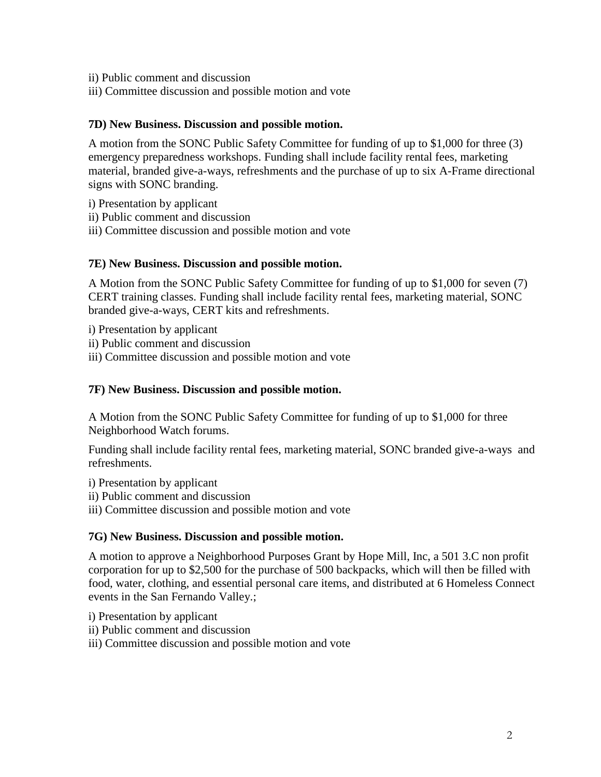- ii) Public comment and discussion
- iii) Committee discussion and possible motion and vote

### **7D) New Business. Discussion and possible motion.**

A motion from the SONC Public Safety Committee for funding of up to \$1,000 for three (3) emergency preparedness workshops. Funding shall include facility rental fees, marketing material, branded give-a-ways, refreshments and the purchase of up to six A-Frame directional signs with SONC branding.

- i) Presentation by applicant
- ii) Public comment and discussion
- iii) Committee discussion and possible motion and vote

### **7E) New Business. Discussion and possible motion.**

A Motion from the SONC Public Safety Committee for funding of up to \$1,000 for seven (7) CERT training classes. Funding shall include facility rental fees, marketing material, SONC branded give-a-ways, CERT kits and refreshments.

i) Presentation by applicant

- ii) Public comment and discussion
- iii) Committee discussion and possible motion and vote

## **7F) New Business. Discussion and possible motion.**

A Motion from the SONC Public Safety Committee for funding of up to \$1,000 for three Neighborhood Watch forums.

Funding shall include facility rental fees, marketing material, SONC branded give-a-ways and refreshments.

- i) Presentation by applicant
- ii) Public comment and discussion
- iii) Committee discussion and possible motion and vote

### **7G) New Business. Discussion and possible motion.**

A motion to approve a Neighborhood Purposes Grant by Hope Mill, Inc, a 501 3.C non profit corporation for up to \$2,500 for the purchase of 500 backpacks, which will then be filled with food, water, clothing, and essential personal care items, and distributed at 6 Homeless Connect events in the San Fernando Valley.;

- i) Presentation by applicant
- ii) Public comment and discussion
- iii) Committee discussion and possible motion and vote